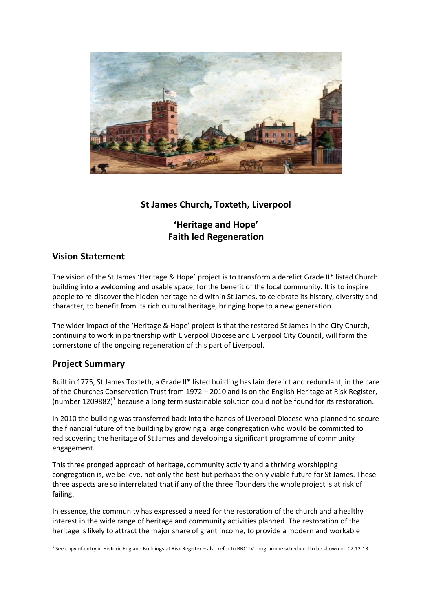

## **St James Church, Toxteth, Liverpool**

## **'Heritage and Hope' Faith led Regeneration**

## **Vision Statement**

The vision of the St James 'Heritage & Hope' project is to transform a derelict Grade II\* listed Church building into a welcoming and usable space, for the benefit of the local community. It is to inspire people to re-discover the hidden heritage held within St James, to celebrate its history, diversity and character, to benefit from its rich cultural heritage, bringing hope to a new generation.

The wider impact of the 'Heritage & Hope' project is that the restored St James in the City Church, continuing to work in partnership with Liverpool Diocese and Liverpool City Council, will form the cornerstone of the ongoing regeneration of this part of Liverpool.

## **Project Summary**

Built in 1775, St James Toxteth, a Grade II\* listed building has lain derelict and redundant, in the care of the Churches Conservation Trust from 1972 – 2010 and is on the English Heritage at Risk Register, (number 1209882)<sup>1</sup> because a long term sustainable solution could not be found for its restoration.

In 2010 the building was transferred back into the hands of Liverpool Diocese who planned to secure the financial future of the building by growing a large congregation who would be committed to rediscovering the heritage of St James and developing a significant programme of community engagement.

This three pronged approach of heritage, community activity and a thriving worshipping congregation is, we believe, not only the best but perhaps the only viable future for St James. These three aspects are so interrelated that if any of the three flounders the whole project is at risk of failing.

In essence, the community has expressed a need for the restoration of the church and a healthy interest in the wide range of heritage and community activities planned. The restoration of the heritage is likely to attract the major share of grant income, to provide a modern and workable

<sup>&</sup>lt;sup>1</sup> See copy of entry in Historic England Buildings at Risk Register – also refer to BBC TV programme scheduled to be shown on 02.12.13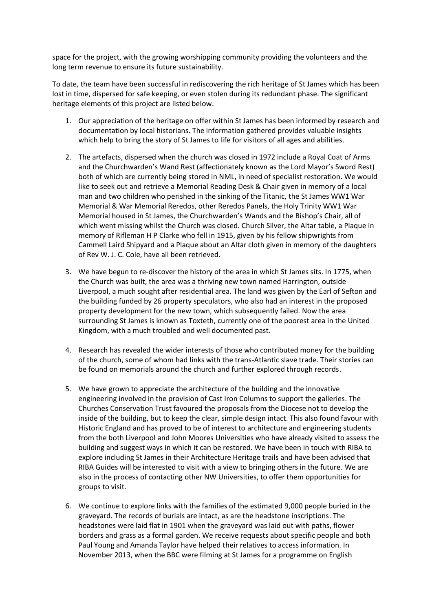space for the project, with the growing worshipping community providing the volunteers and the long term revenue to ensure its future sustainability.

To date, the team have been successful in rediscovering the rich heritage of St James which has been lost in time, dispersed for safe keeping, or even stolen during its redundant phase. The significant heritage elements of this project are listed below.

- 1. Our appreciation of the heritage on offer within St James has been informed by research and documentation by local historians. The information gathered provides valuable insights which help to bring the story of St James to life for visitors of all ages and abilities.
- 2. The artefacts, dispersed when the church was closed in 1972 include a Royal Coat of Arms and the Churchwarden's Wand Rest (affectionately known as the Lord Mayor's Sword Rest) both of which are currently being stored in NML, in need of specialist restoration. We would like to seek out and retrieve a Memorial Reading Desk & Chair given in memory of a local man and two children who perished in the sinking of the Titanic, the St James WW1 War Memorial & War Memorial Reredos, other Reredos Panels, the Holy Trinity WW1 War Memorial housed in St James, the Churchwarden's Wands and the Bishop's Chair, all of which went missing whilst the Church was closed. Church Silver, the Altar table, a Plaque in memory of Rifleman H P Clarke who fell in 1915, given by his fellow shipwrights from Cammell Laird Shipyard and a Plaque about an Altar cloth given in memory of the daughters of Rev W. J. C. Cole, have all been retrieved.
- 3. We have begun to re-discover the history of the area in which St James sits. In 1775, when the Church was built, the area was a thriving new town named Harrington, outside Liverpool, a much sought after residential area. The land was given by the Earl of Sefton and the building funded by 26 property speculators, who also had an interest in the proposed property development for the new town, which subsequently failed. Now the area surrounding St James is known as Toxteth, currently one of the poorest area in the United Kingdom, with a much troubled and well documented past.
- 4. Research has revealed the wider interests of those who contributed money for the building of the church, some of whom had links with the trans-Atlantic slave trade. Their stories can be found on memorials around the church and further explored through records.
- 5. We have grown to appreciate the architecture of the building and the innovative engineering involved in the provision of Cast Iron Columns to support the galleries. The Churches Conservation Trust favoured the proposals from the Diocese not to develop the inside of the building, but to keep the clear, simple design intact. This also found favour with Historic England and has proved to be of interest to architecture and engineering students from the both Liverpool and John Moores Universities who have already visited to assess the building and suggest ways in which it can be restored. We have been in touch with RIBA to explore including St James in their Architecture Heritage trails and have been advised that RIBA Guides will be interested to visit with a view to bringing others in the future. We are also in the process of contacting other NW Universities, to offer them opportunities for groups to visit.
- 6. We continue to explore links with the families of the estimated 9,000 people buried in the graveyard. The records of burials are intact, as are the headstone inscriptions. The headstones were laid flat in 1901 when the graveyard was laid out with paths, flower borders and grass as a formal garden. We receive requests about specific people and both Paul Young and Amanda Taylor have helped their relatives to access information. In November 2013, when the BBC were filming at St James for a programme on English